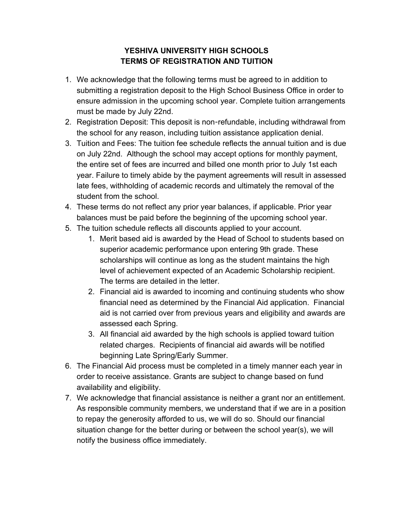## **YESHIVA UNIVERSITY HIGH SCHOOLS TERMS OF REGISTRATION AND TUITION**

- 1. We acknowledge that the following terms must be agreed to in addition to submitting a registration deposit to the High School Business Office in order to ensure admission in the upcoming school year. Complete tuition arrangements must be made by July 22nd.
- 2. Registration Deposit: This deposit is non-refundable, including withdrawal from the school for any reason, including tuition assistance application denial.
- 3. Tuition and Fees: The tuition fee schedule reflects the annual tuition and is due on July 22nd. Although the school may accept options for monthly payment, the entire set of fees are incurred and billed one month prior to July 1st each year. Failure to timely abide by the payment agreements will result in assessed late fees, withholding of academic records and ultimately the removal of the student from the school.
- 4. These terms do not reflect any prior year balances, if applicable. Prior year balances must be paid before the beginning of the upcoming school year.
- 5. The tuition schedule reflects all discounts applied to your account.
	- 1. Merit based aid is awarded by the Head of School to students based on superior academic performance upon entering 9th grade. These scholarships will continue as long as the student maintains the high level of achievement expected of an Academic Scholarship recipient. The terms are detailed in the letter.
	- 2. Financial aid is awarded to incoming and continuing students who show financial need as determined by the Financial Aid application. Financial aid is not carried over from previous years and eligibility and awards are assessed each Spring.
	- 3. All financial aid awarded by the high schools is applied toward tuition related charges. Recipients of financial aid awards will be notified beginning Late Spring/Early Summer.
- 6. The Financial Aid process must be completed in a timely manner each year in order to receive assistance. Grants are subject to change based on fund availability and eligibility.
- 7. We acknowledge that financial assistance is neither a grant nor an entitlement. As responsible community members, we understand that if we are in a position to repay the generosity afforded to us, we will do so. Should our financial situation change for the better during or between the school year(s), we will notify the business office immediately.